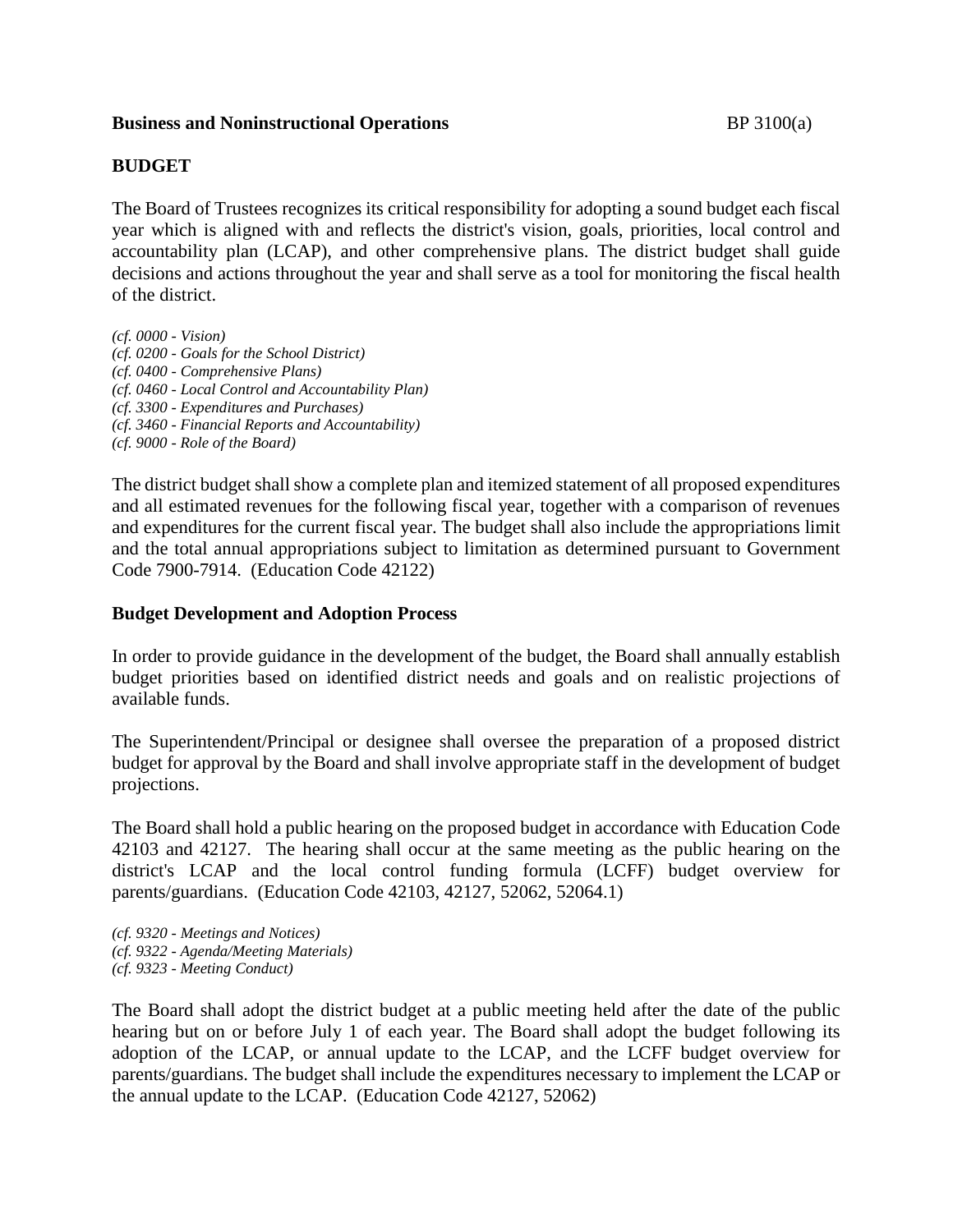## **Business and Noninstructional Operations BP** 3100(a)

## **BUDGET**

The Board of Trustees recognizes its critical responsibility for adopting a sound budget each fiscal year which is aligned with and reflects the district's vision, goals, priorities, local control and accountability plan (LCAP), and other comprehensive plans. The district budget shall guide decisions and actions throughout the year and shall serve as a tool for monitoring the fiscal health of the district.

*(cf. 0000 - Vision) (cf. 0200 - Goals for the School District) (cf. 0400 - Comprehensive Plans) (cf. 0460 - Local Control and Accountability Plan) (cf. 3300 - Expenditures and Purchases) (cf. 3460 - Financial Reports and Accountability) (cf. 9000 - Role of the Board)*

The district budget shall show a complete plan and itemized statement of all proposed expenditures and all estimated revenues for the following fiscal year, together with a comparison of revenues and expenditures for the current fiscal year. The budget shall also include the appropriations limit and the total annual appropriations subject to limitation as determined pursuant to Government Code 7900-7914. (Education Code 42122)

#### **Budget Development and Adoption Process**

In order to provide guidance in the development of the budget, the Board shall annually establish budget priorities based on identified district needs and goals and on realistic projections of available funds.

The Superintendent/Principal or designee shall oversee the preparation of a proposed district budget for approval by the Board and shall involve appropriate staff in the development of budget projections.

The Board shall hold a public hearing on the proposed budget in accordance with Education Code 42103 and 42127. The hearing shall occur at the same meeting as the public hearing on the district's LCAP and the local control funding formula (LCFF) budget overview for parents/guardians. (Education Code 42103, 42127, 52062, 52064.1)

*(cf. 9320 - Meetings and Notices) (cf. 9322 - Agenda/Meeting Materials) (cf. 9323 - Meeting Conduct)*

The Board shall adopt the district budget at a public meeting held after the date of the public hearing but on or before July 1 of each year. The Board shall adopt the budget following its adoption of the LCAP, or annual update to the LCAP, and the LCFF budget overview for parents/guardians. The budget shall include the expenditures necessary to implement the LCAP or the annual update to the LCAP. (Education Code 42127, 52062)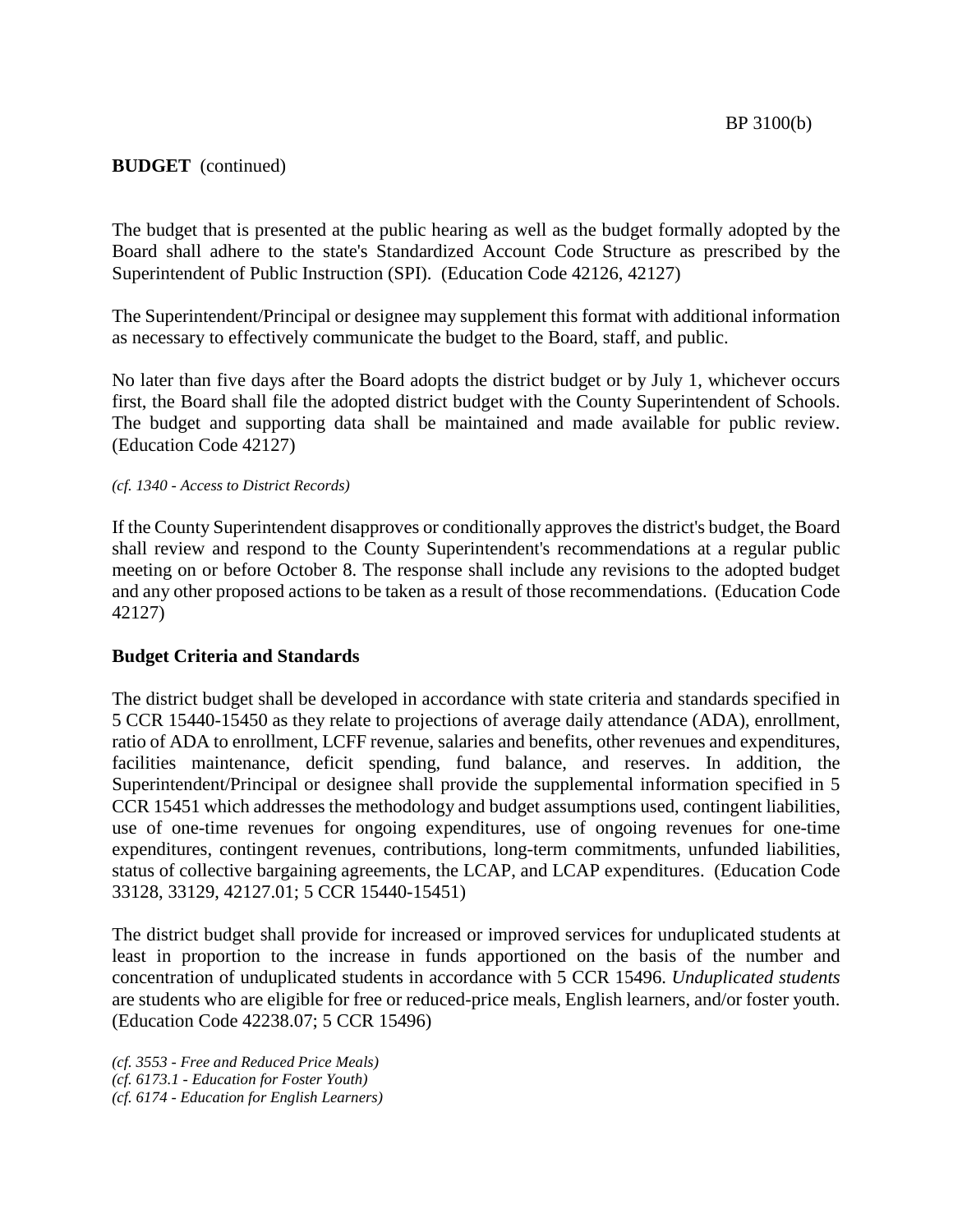The budget that is presented at the public hearing as well as the budget formally adopted by the Board shall adhere to the state's Standardized Account Code Structure as prescribed by the Superintendent of Public Instruction (SPI). (Education Code 42126, 42127)

The Superintendent/Principal or designee may supplement this format with additional information as necessary to effectively communicate the budget to the Board, staff, and public.

No later than five days after the Board adopts the district budget or by July 1, whichever occurs first, the Board shall file the adopted district budget with the County Superintendent of Schools. The budget and supporting data shall be maintained and made available for public review. (Education Code 42127)

#### *(cf. 1340 - Access to District Records)*

If the County Superintendent disapproves or conditionally approves the district's budget, the Board shall review and respond to the County Superintendent's recommendations at a regular public meeting on or before October 8. The response shall include any revisions to the adopted budget and any other proposed actions to be taken as a result of those recommendations. (Education Code 42127)

#### **Budget Criteria and Standards**

The district budget shall be developed in accordance with state criteria and standards specified in 5 CCR 15440-15450 as they relate to projections of average daily attendance (ADA), enrollment, ratio of ADA to enrollment, LCFF revenue, salaries and benefits, other revenues and expenditures, facilities maintenance, deficit spending, fund balance, and reserves. In addition, the Superintendent/Principal or designee shall provide the supplemental information specified in 5 CCR 15451 which addresses the methodology and budget assumptions used, contingent liabilities, use of one-time revenues for ongoing expenditures, use of ongoing revenues for one-time expenditures, contingent revenues, contributions, long-term commitments, unfunded liabilities, status of collective bargaining agreements, the LCAP, and LCAP expenditures. (Education Code 33128, 33129, 42127.01; 5 CCR 15440-15451)

The district budget shall provide for increased or improved services for unduplicated students at least in proportion to the increase in funds apportioned on the basis of the number and concentration of unduplicated students in accordance with 5 CCR 15496. *Unduplicated students* are students who are eligible for free or reduced-price meals, English learners, and/or foster youth. (Education Code 42238.07; 5 CCR 15496)

*(cf. 3553 - Free and Reduced Price Meals) (cf. 6173.1 - Education for Foster Youth) (cf. 6174 - Education for English Learners)*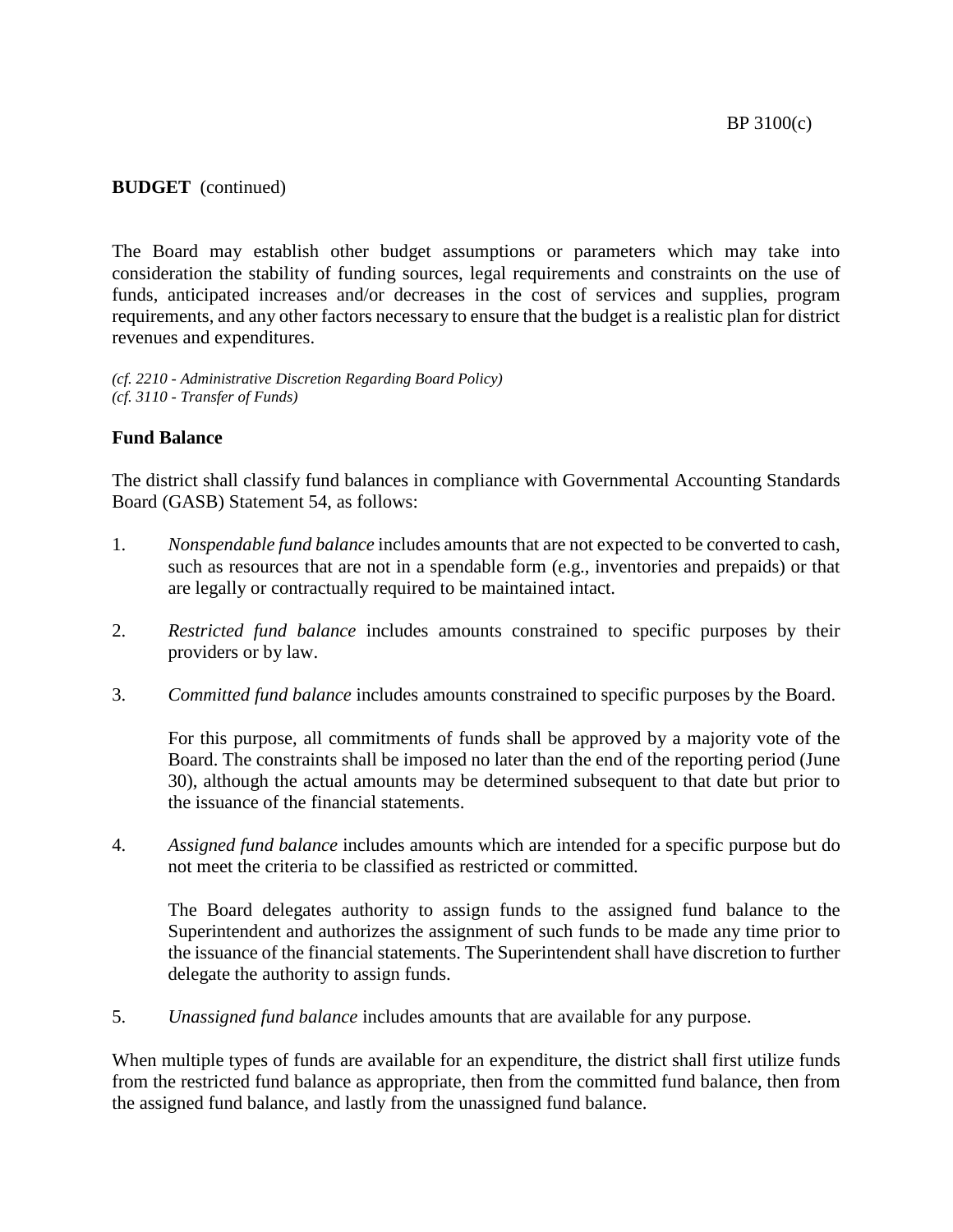The Board may establish other budget assumptions or parameters which may take into consideration the stability of funding sources, legal requirements and constraints on the use of funds, anticipated increases and/or decreases in the cost of services and supplies, program requirements, and any other factors necessary to ensure that the budget is a realistic plan for district revenues and expenditures.

*(cf. 2210 - Administrative Discretion Regarding Board Policy) (cf. 3110 - Transfer of Funds)*

#### **Fund Balance**

The district shall classify fund balances in compliance with Governmental Accounting Standards Board (GASB) Statement 54, as follows:

- 1. *Nonspendable fund balance* includes amounts that are not expected to be converted to cash, such as resources that are not in a spendable form (e.g., inventories and prepaids) or that are legally or contractually required to be maintained intact.
- 2. *Restricted fund balance* includes amounts constrained to specific purposes by their providers or by law.
- 3. *Committed fund balance* includes amounts constrained to specific purposes by the Board.

For this purpose, all commitments of funds shall be approved by a majority vote of the Board. The constraints shall be imposed no later than the end of the reporting period (June 30), although the actual amounts may be determined subsequent to that date but prior to the issuance of the financial statements.

4. *Assigned fund balance* includes amounts which are intended for a specific purpose but do not meet the criteria to be classified as restricted or committed.

The Board delegates authority to assign funds to the assigned fund balance to the Superintendent and authorizes the assignment of such funds to be made any time prior to the issuance of the financial statements. The Superintendent shall have discretion to further delegate the authority to assign funds.

5. *Unassigned fund balance* includes amounts that are available for any purpose.

When multiple types of funds are available for an expenditure, the district shall first utilize funds from the restricted fund balance as appropriate, then from the committed fund balance, then from the assigned fund balance, and lastly from the unassigned fund balance.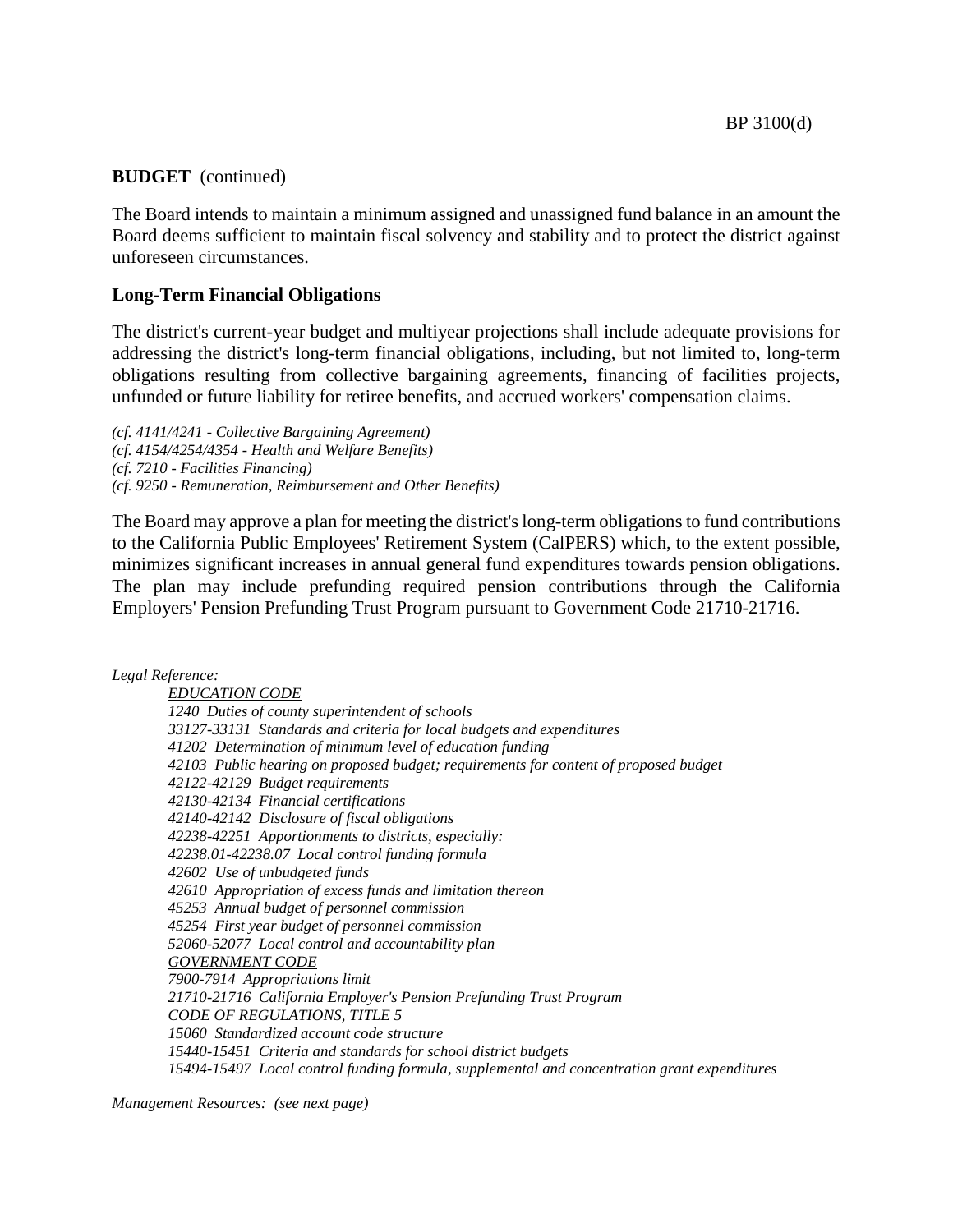The Board intends to maintain a minimum assigned and unassigned fund balance in an amount the Board deems sufficient to maintain fiscal solvency and stability and to protect the district against unforeseen circumstances.

## **Long-Term Financial Obligations**

The district's current-year budget and multiyear projections shall include adequate provisions for addressing the district's long-term financial obligations, including, but not limited to, long-term obligations resulting from collective bargaining agreements, financing of facilities projects, unfunded or future liability for retiree benefits, and accrued workers' compensation claims.

*(cf. 4141/4241 - Collective Bargaining Agreement) (cf. 4154/4254/4354 - Health and Welfare Benefits) (cf. 7210 - Facilities Financing) (cf. 9250 - Remuneration, Reimbursement and Other Benefits)*

The Board may approve a plan for meeting the district's long-term obligations to fund contributions to the California Public Employees' Retirement System (CalPERS) which, to the extent possible, minimizes significant increases in annual general fund expenditures towards pension obligations. The plan may include prefunding required pension contributions through the California Employers' Pension Prefunding Trust Program pursuant to Government Code 21710-21716.

#### *Legal Reference:*

*EDUCATION CODE 1240 Duties of county superintendent of schools 33127-33131 Standards and criteria for local budgets and expenditures 41202 Determination of minimum level of education funding 42103 Public hearing on proposed budget; requirements for content of proposed budget 42122-42129 Budget requirements 42130-42134 Financial certifications 42140-42142 Disclosure of fiscal obligations 42238-42251 Apportionments to districts, especially: 42238.01-42238.07 Local control funding formula 42602 Use of unbudgeted funds 42610 Appropriation of excess funds and limitation thereon 45253 Annual budget of personnel commission 45254 First year budget of personnel commission 52060-52077 Local control and accountability plan GOVERNMENT CODE 7900-7914 Appropriations limit 21710-21716 California Employer's Pension Prefunding Trust Program CODE OF REGULATIONS, TITLE 5 15060 Standardized account code structure 15440-15451 Criteria and standards for school district budgets 15494-15497 Local control funding formula, supplemental and concentration grant expenditures*

*Management Resources: (see next page)*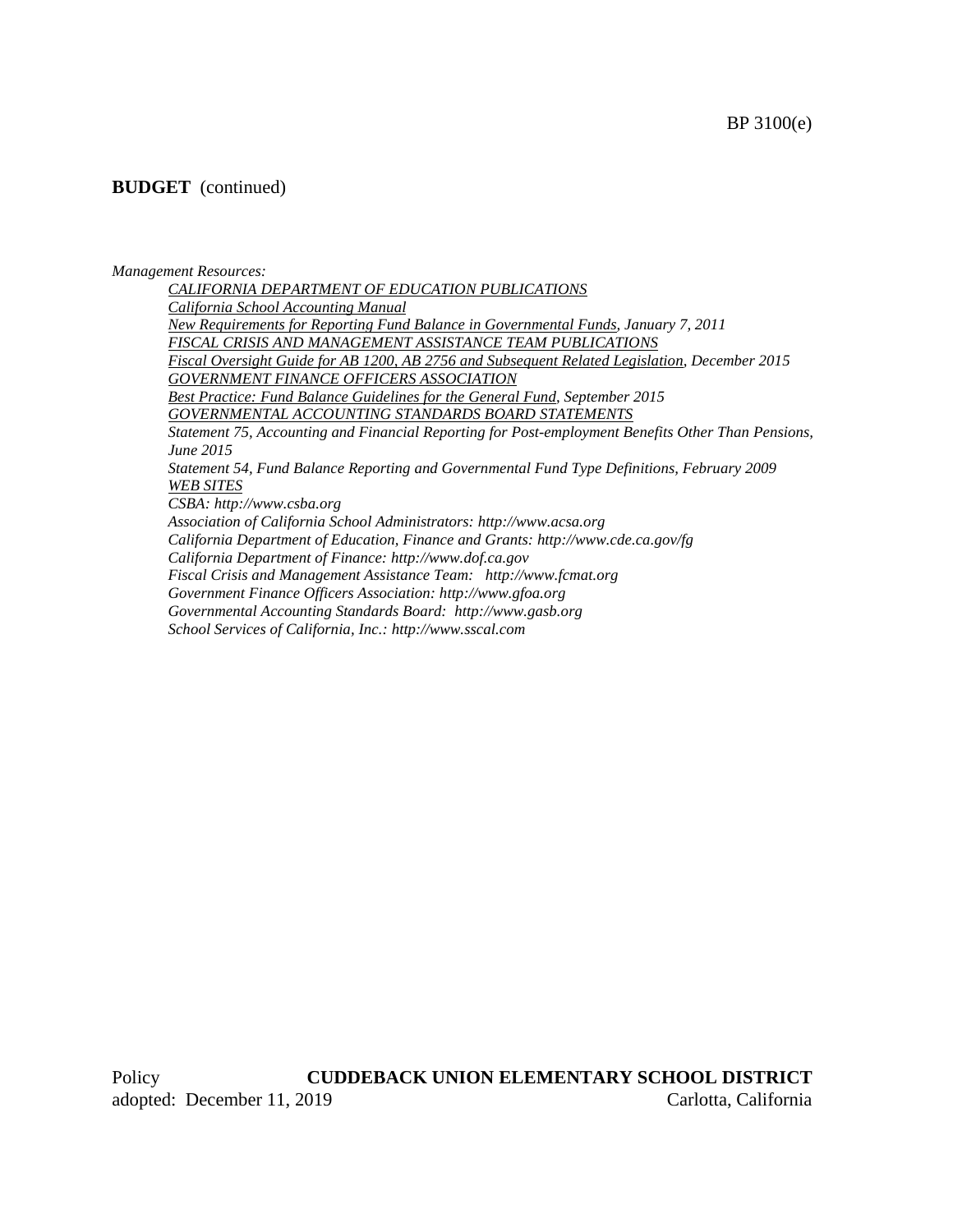#### *Management Resources:*

*CALIFORNIA DEPARTMENT OF EDUCATION PUBLICATIONS California School Accounting Manual New Requirements for Reporting Fund Balance in Governmental Funds, January 7, 2011 FISCAL CRISIS AND MANAGEMENT ASSISTANCE TEAM PUBLICATIONS Fiscal Oversight Guide for AB 1200, AB 2756 and Subsequent Related Legislation, December 2015 GOVERNMENT FINANCE OFFICERS ASSOCIATION Best Practice: Fund Balance Guidelines for the General Fund, September 2015 GOVERNMENTAL ACCOUNTING STANDARDS BOARD STATEMENTS Statement 75, Accounting and Financial Reporting for Post-employment Benefits Other Than Pensions, June 2015 Statement 54, Fund Balance Reporting and Governmental Fund Type Definitions, February 2009 WEB SITES CSBA: http://www.csba.org Association of California School Administrators: http://www.acsa.org California Department of Education, Finance and Grants: http://www.cde.ca.gov/fg California Department of Finance: http://www.dof.ca.gov Fiscal Crisis and Management Assistance Team: http://www.fcmat.org Government Finance Officers Association: http://www.gfoa.org Governmental Accounting Standards Board: http://www.gasb.org*

*School Services of California, Inc.: http://www.sscal.com*

Policy **CUDDEBACK UNION ELEMENTARY SCHOOL DISTRICT** adopted: December 11, 2019 Carlotta, California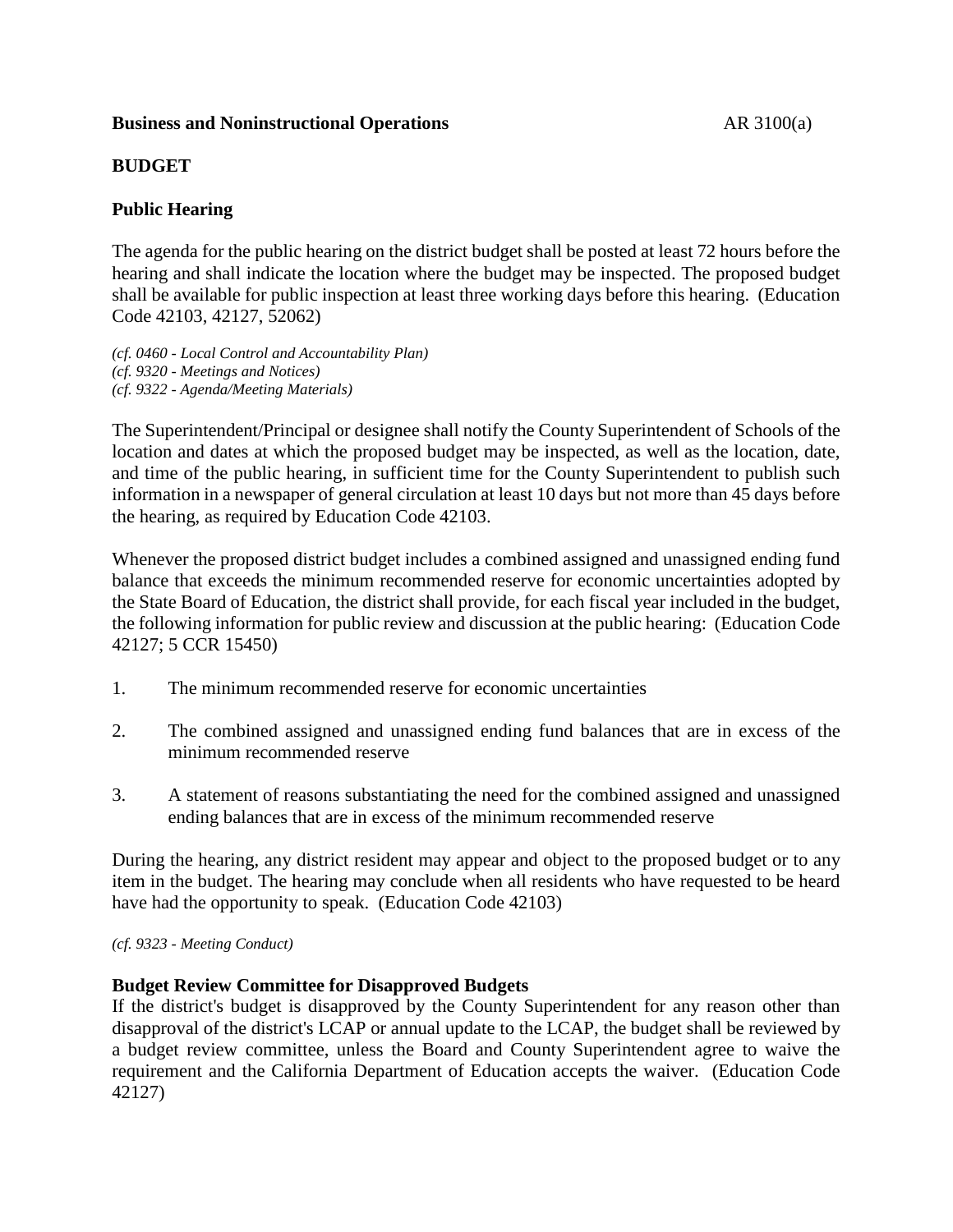## **Business and Noninstructional Operations** AR 3100(a)

# **BUDGET**

# **Public Hearing**

The agenda for the public hearing on the district budget shall be posted at least 72 hours before the hearing and shall indicate the location where the budget may be inspected. The proposed budget shall be available for public inspection at least three working days before this hearing. (Education Code 42103, 42127, 52062)

*(cf. 0460 - Local Control and Accountability Plan) (cf. 9320 - Meetings and Notices) (cf. 9322 - Agenda/Meeting Materials)*

The Superintendent/Principal or designee shall notify the County Superintendent of Schools of the location and dates at which the proposed budget may be inspected, as well as the location, date, and time of the public hearing, in sufficient time for the County Superintendent to publish such information in a newspaper of general circulation at least 10 days but not more than 45 days before the hearing, as required by Education Code 42103.

Whenever the proposed district budget includes a combined assigned and unassigned ending fund balance that exceeds the minimum recommended reserve for economic uncertainties adopted by the State Board of Education, the district shall provide, for each fiscal year included in the budget, the following information for public review and discussion at the public hearing: (Education Code 42127; 5 CCR 15450)

- 1. The minimum recommended reserve for economic uncertainties
- 2. The combined assigned and unassigned ending fund balances that are in excess of the minimum recommended reserve
- 3. A statement of reasons substantiating the need for the combined assigned and unassigned ending balances that are in excess of the minimum recommended reserve

During the hearing, any district resident may appear and object to the proposed budget or to any item in the budget. The hearing may conclude when all residents who have requested to be heard have had the opportunity to speak. (Education Code 42103)

*(cf. 9323 - Meeting Conduct)*

# **Budget Review Committee for Disapproved Budgets**

If the district's budget is disapproved by the County Superintendent for any reason other than disapproval of the district's LCAP or annual update to the LCAP, the budget shall be reviewed by a budget review committee, unless the Board and County Superintendent agree to waive the requirement and the California Department of Education accepts the waiver. (Education Code 42127)